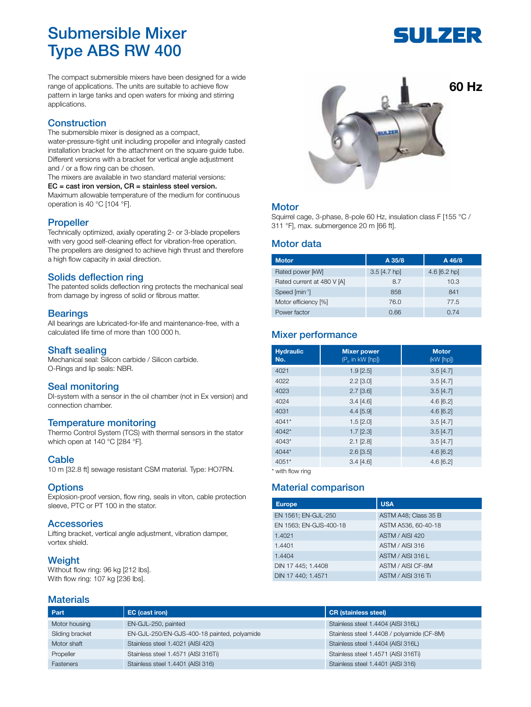# Submersible Mixer Type ABS RW 400

# FIJI ZER

The compact submersible mixers have been designed for a wide range of applications. The units are suitable to achieve flow pattern in large tanks and open waters for mixing and stirring applications.

# **Construction**

The submersible mixer is designed as a compact, water-pressure-tight unit including propeller and integrally casted installation bracket for the attachment on the square guide tube. Different versions with a bracket for vertical angle adjustment and / or a flow ring can be chosen.

The mixers are available in two standard material versions: EC = cast iron version, CR = stainless steel version. Maximum allowable temperature of the medium for continuous operation is 40 °C [104 °F].

#### **Propeller**

Technically optimized, axially operating 2- or 3-blade propellers with very good self-cleaning effect for vibration-free operation. The propellers are designed to achieve high thrust and therefore a high flow capacity in axial direction.

# Solids deflection ring

The patented solids deflection ring protects the mechanical seal from damage by ingress of solid or fibrous matter.

#### **Bearings**

All bearings are lubricated-for-life and maintenance-free, with a calculated life time of more than 100 000 h.

#### Shaft sealing

Mechanical seal: Silicon carbide / Silicon carbide. O-Rings and lip seals: NBR.

#### Seal monitoring

DI-system with a sensor in the oil chamber (not in Ex version) and connection chamber.

# Temperature monitoring

Thermo Control System (TCS) with thermal sensors in the stator which open at 140 °C [284 °F].

#### **Cable**

10 m [32.8 ft] sewage resistant CSM material. Type: HO7RN.

#### **Options**

Explosion-proof version, flow ring, seals in viton, cable protection sleeve, PTC or PT 100 in the stator.

#### **Accessories**

Lifting bracket, vertical angle adjustment, vibration damper, vortex shield.

#### **Weight**

Without flow ring: 96 kg [212 lbs]. With flow ring: 107 kg [236 lbs].

# **Materials**



#### **Motor**

Squirrel cage, 3-phase, 8-pole 60 Hz, insulation class F [155 °C / 311 °F], max. submergence 20 m [66 ft].

#### Motor data

| <b>Motor</b>               | A 35/8         | A 46/8       |
|----------------------------|----------------|--------------|
| Rated power [kW]           | $3.5$ [4.7 hp] | 4.6 [6.2 hp] |
| Rated current at 480 V [A] | 8.7            | 10.3         |
| Speed [min-1]              | 858            | 841          |
| Motor efficiency [%]       | 76.0           | 77.5         |
| Power factor               | 0.66           | 0.74         |

# Mixer performance

| <b>Hydraulic</b><br>No. | <b>Mixer power</b><br>(P <sub>P</sub> in kW [hp]) | <b>Motor</b><br>(kW [hp]) |
|-------------------------|---------------------------------------------------|---------------------------|
| 4021                    | $1.9$ [ $2.5$ ]                                   | $3.5$ [4.7]               |
| 4022                    | $2.2$ [3.0]                                       | $3.5$ [4.7]               |
| 4023                    | $2.7$ [3.6]                                       | $3.5$ [4.7]               |
| 4024                    | $3.4$ [4.6]                                       | $4.6$ [6.2]               |
| 4031                    | $4.4$ [5.9]                                       | $4.6$ [6.2]               |
| 4041*                   | $1.5$ [ $2.0$ ]                                   | $3.5$ [4.7]               |
| $4042*$                 | $1.7$ [ $2.3$ ]                                   | $3.5$ [4.7]               |
| 4043*                   | $2.1$ [ $2.8$ ]                                   | $3.5$ [4.7]               |
| 4044*                   | $2.6$ [ $3.5$ ]                                   | 4.6[6.2]                  |
| 4051*                   | 3.4[4.6]                                          | $4.6$ [6.2]               |

\* with flow ring

# Material comparison

| <b>Europe</b>          | <b>USA</b>           |
|------------------------|----------------------|
| EN 1561; EN-GJL-250    | ASTM A48; Class 35 B |
| EN 1563; EN-GJS-400-18 | ASTM A536, 60-40-18  |
| 1.4021                 | ASTM / AISI 420      |
| 1.4401                 | ASTM / AISI 316      |
| 1.4404                 | ASTM / AISI 316 L    |
| DIN 17 445; 1.4408     | ASTM / AISI CF-8M    |
| DIN 17 440; 1.4571     | ASTM / AISI 316 Ti   |

| Part            | EC (cast iron)                              | <b>CR</b> (stainless steel)                |
|-----------------|---------------------------------------------|--------------------------------------------|
| Motor housing   | EN-GJL-250, painted                         | Stainless steel 1.4404 (AISI 316L)         |
| Sliding bracket | EN-GJL-250/EN-GJS-400-18 painted, polyamide | Stainless steel 1.4408 / polyamide (CF-8M) |
| Motor shaft     | Stainless steel 1.4021 (AISI 420)           | Stainless steel 1.4404 (AISI 316L)         |
| Propeller       | Stainless steel 1.4571 (AISI 316Ti)         | Stainless steel 1.4571 (AISI 316Ti)        |
| Fasteners       | Stainless steel 1.4401 (AISI 316)           | Stainless steel 1.4401 (AISI 316)          |